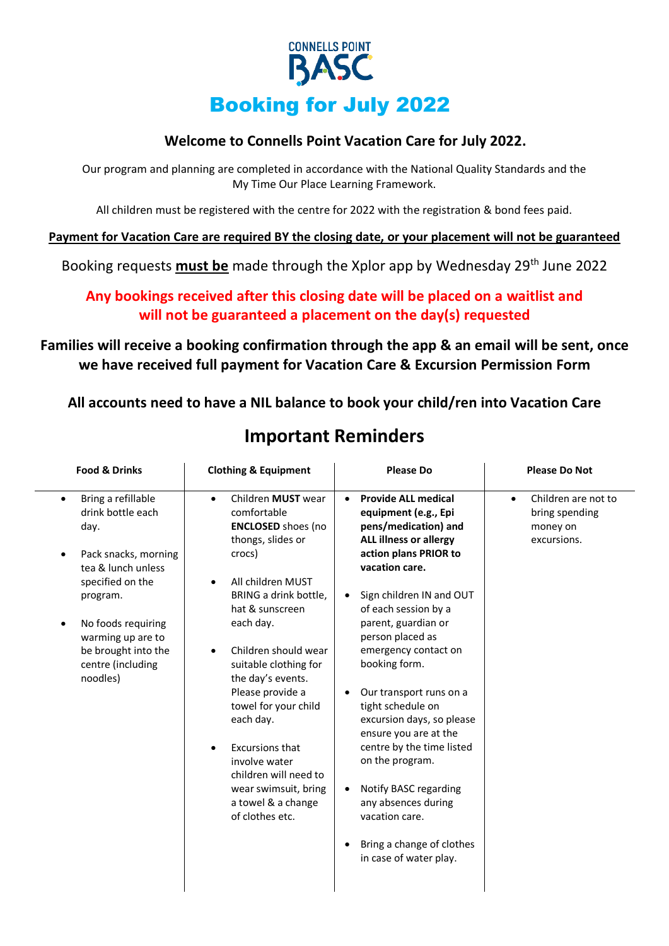

# **Welcome to Connells Point Vacation Care for July 2022.**

Our program and planning are completed in accordance with the National Quality Standards and the My Time Our Place Learning Framework.

All children must be registered with the centre for 2022 with the registration & bond fees paid.

**Payment for Vacation Care are required BY the closing date, or your placement will not be guaranteed**

Booking requests **must be** made through the Xplor app by Wednesday 29th June 2022

# **Any bookings received after this closing date will be placed on a waitlist and will not be guaranteed a placement on the day(s) requested**

# **Families will receive a booking confirmation through the app & an email will be sent, once we have received full payment for Vacation Care & Excursion Permission Form**

**All accounts need to have a NIL balance to book your child/ren into Vacation Care**

| <b>Food &amp; Drinks</b>                                                                                                                                                                                                                      | <b>Clothing &amp; Equipment</b>                                                                                                                                                                                                                                                                                                                                                                                                                              | <b>Please Do</b>                                                                                                                                                                                                                                                                                                                                                                                                                                                                                                                                                                                                     | <b>Please Do Not</b>                                                          |
|-----------------------------------------------------------------------------------------------------------------------------------------------------------------------------------------------------------------------------------------------|--------------------------------------------------------------------------------------------------------------------------------------------------------------------------------------------------------------------------------------------------------------------------------------------------------------------------------------------------------------------------------------------------------------------------------------------------------------|----------------------------------------------------------------------------------------------------------------------------------------------------------------------------------------------------------------------------------------------------------------------------------------------------------------------------------------------------------------------------------------------------------------------------------------------------------------------------------------------------------------------------------------------------------------------------------------------------------------------|-------------------------------------------------------------------------------|
| Bring a refillable<br>$\bullet$<br>drink bottle each<br>day.<br>Pack snacks, morning<br>tea & lunch unless<br>specified on the<br>program.<br>No foods requiring<br>warming up are to<br>be brought into the<br>centre (including<br>noodles) | Children MUST wear<br>$\bullet$<br>comfortable<br><b>ENCLOSED</b> shoes (no<br>thongs, slides or<br>crocs)<br>All children MUST<br>BRING a drink bottle,<br>hat & sunscreen<br>each day.<br>Children should wear<br>suitable clothing for<br>the day's events.<br>Please provide a<br>towel for your child<br>each day.<br><b>Excursions that</b><br>involve water<br>children will need to<br>wear swimsuit, bring<br>a towel & a change<br>of clothes etc. | <b>Provide ALL medical</b><br>$\bullet$<br>equipment (e.g., Epi<br>pens/medication) and<br><b>ALL illness or allergy</b><br>action plans PRIOR to<br>vacation care.<br>Sign children IN and OUT<br>$\bullet$<br>of each session by a<br>parent, guardian or<br>person placed as<br>emergency contact on<br>booking form.<br>Our transport runs on a<br>tight schedule on<br>excursion days, so please<br>ensure you are at the<br>centre by the time listed<br>on the program.<br>Notify BASC regarding<br>$\bullet$<br>any absences during<br>vacation care.<br>Bring a change of clothes<br>in case of water play. | Children are not to<br>$\bullet$<br>bring spending<br>money on<br>excursions. |

# **Important Reminders**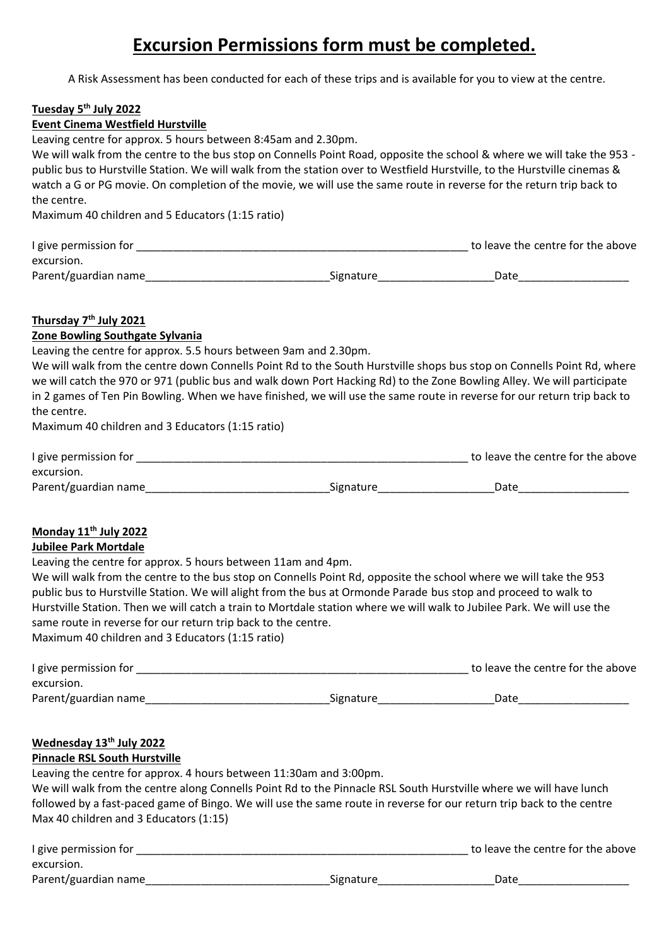# **Excursion Permissions form must be completed.**

A Risk Assessment has been conducted for each of these trips and is available for you to view at the centre.

#### **Tuesday 5th July 2022**

#### **Event Cinema Westfield Hurstville**

Leaving centre for approx. 5 hours between 8:45am and 2.30pm. We will walk from the centre to the bus stop on Connells Point Road, opposite the school & where we will take the 953 public bus to Hurstville Station. We will walk from the station over to Westfield Hurstville, to the Hurstville cinemas & watch a G or PG movie. On completion of the movie, we will use the same route in reverse for the return trip back to the centre. Maximum 40 children and 5 Educators (1:15 ratio)

| I give permission for |           | to leave the centre for the above |
|-----------------------|-----------|-----------------------------------|
| excursion.            |           |                                   |
| Parent/guardian name  | Signature | Date                              |

## **Thursday 7 th July 2021**

### **Zone Bowling Southgate Sylvania**

Leaving the centre for approx. 5.5 hours between 9am and 2.30pm.

We will walk from the centre down Connells Point Rd to the South Hurstville shops bus stop on Connells Point Rd, where we will catch the 970 or 971 (public bus and walk down Port Hacking Rd) to the Zone Bowling Alley. We will participate in 2 games of Ten Pin Bowling. When we have finished, we will use the same route in reverse for our return trip back to the centre.

Maximum 40 children and 3 Educators (1:15 ratio)

| I give permission for |           | to leave the centre for the above |
|-----------------------|-----------|-----------------------------------|
| excursion.            |           |                                   |
| Parent/guardian name  | Signature | Date                              |

## **Monday 11th July 2022**

## **Jubilee Park Mortdale**

Leaving the centre for approx. 5 hours between 11am and 4pm.

We will walk from the centre to the bus stop on Connells Point Rd, opposite the school where we will take the 953 public bus to Hurstville Station. We will alight from the bus at Ormonde Parade bus stop and proceed to walk to Hurstville Station. Then we will catch a train to Mortdale station where we will walk to Jubilee Park. We will use the same route in reverse for our return trip back to the centre.

Maximum 40 children and 3 Educators (1:15 ratio)

| I give permission for |           | to leave the centre for the above |
|-----------------------|-----------|-----------------------------------|
| excursion.            |           |                                   |
| Parent/guardian name  | Signature | Date                              |

### **Wednesday 13th July 2022**

#### **Pinnacle RSL South Hurstville**

Leaving the centre for approx. 4 hours between 11:30am and 3:00pm.

| We will walk from the centre along Connells Point Rd to the Pinnacle RSL South Hurstville where we will have lunch   |
|----------------------------------------------------------------------------------------------------------------------|
| followed by a fast-paced game of Bingo. We will use the same route in reverse for our return trip back to the centre |
| Max 40 children and 3 Educators (1:15)                                                                               |

| I give permission for |           | to leave the centre for the above |
|-----------------------|-----------|-----------------------------------|
| excursion.            |           |                                   |
| Parent/guardian name  | Signature | Date                              |